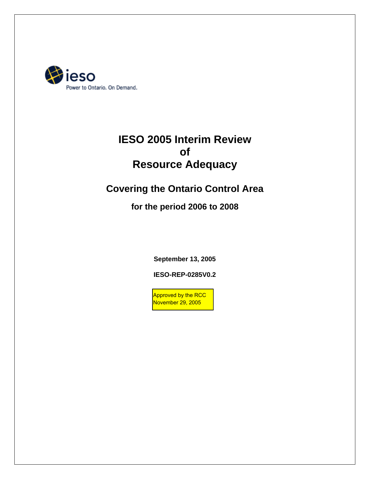

# **IESO 2005 Interim Review of Resource Adequacy**

## **Covering the Ontario Control Area**

**for the period 2006 to 2008**

**September 13, 2005** 

**IESO-REP-0285V0.2** 

Approved by the RCC November 29, 2005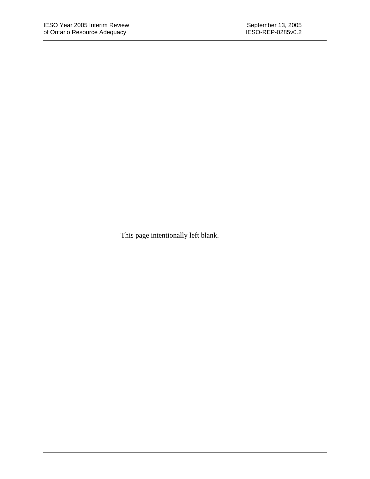This page intentionally left blank.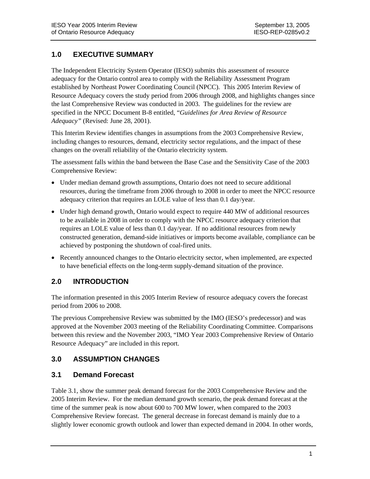## **1.0 EXECUTIVE SUMMARY**

The Independent Electricity System Operator (IESO) submits this assessment of resource adequacy for the Ontario control area to comply with the Reliability Assessment Program established by Northeast Power Coordinating Council (NPCC). This 2005 Interim Review of Resource Adequacy covers the study period from 2006 through 2008, and highlights changes since the last Comprehensive Review was conducted in 2003. The guidelines for the review are specified in the NPCC Document B-8 entitled, "*Guidelines for Area Review of Resource Adequacy"* (Revised: June 28, 2001).

This Interim Review identifies changes in assumptions from the 2003 Comprehensive Review, including changes to resources, demand, electricity sector regulations, and the impact of these changes on the overall reliability of the Ontario electricity system.

The assessment falls within the band between the Base Case and the Sensitivity Case of the 2003 Comprehensive Review:

- Under median demand growth assumptions, Ontario does not need to secure additional resources, during the timeframe from 2006 through to 2008 in order to meet the NPCC resource adequacy criterion that requires an LOLE value of less than 0.1 day/year.
- Under high demand growth, Ontario would expect to require 440 MW of additional resources to be available in 2008 in order to comply with the NPCC resource adequacy criterion that requires an LOLE value of less than 0.1 day/year. If no additional resources from newly constructed generation, demand-side initiatives or imports become available, compliance can be achieved by postponing the shutdown of coal-fired units.
- Recently announced changes to the Ontario electricity sector, when implemented, are expected to have beneficial effects on the long-term supply-demand situation of the province.

## **2.0 INTRODUCTION**

The information presented in this 2005 Interim Review of resource adequacy covers the forecast period from 2006 to 2008.

The previous Comprehensive Review was submitted by the IMO (IESO's predecessor) and was approved at the November 2003 meeting of the Reliability Coordinating Committee. Comparisons between this review and the November 2003, "IMO Year 2003 Comprehensive Review of Ontario Resource Adequacy" are included in this report.

## **3.0 ASSUMPTION CHANGES**

#### **3.1 Demand Forecast**

I

Table 3.1, show the summer peak demand forecast for the 2003 Comprehensive Review and the 2005 Interim Review. For the median demand growth scenario, the peak demand forecast at the time of the summer peak is now about 600 to 700 MW lower, when compared to the 2003 Comprehensive Review forecast. The general decrease in forecast demand is mainly due to a slightly lower economic growth outlook and lower than expected demand in 2004. In other words,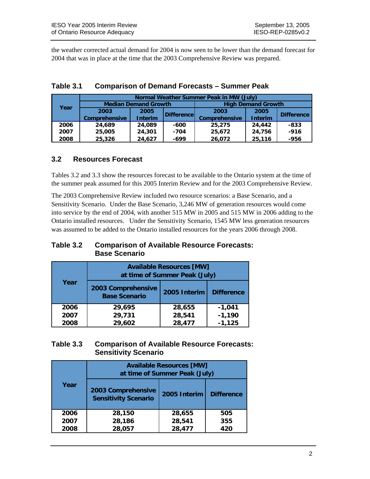the weather corrected actual demand for 2004 is now seen to be lower than the demand forecast for 2004 that was in place at the time that the 2003 Comprehensive Review was prepared.

| Year | <b>Normal Weather Summer Peak in MW (July)</b> |                |                    |                           |                |                   |
|------|------------------------------------------------|----------------|--------------------|---------------------------|----------------|-------------------|
|      | <b>Median Demand Growth</b>                    |                |                    | <b>High Demand Growth</b> |                |                   |
|      | 2003                                           | 2005           | <b>Differencel</b> | 2003                      | 2005           | <b>Difference</b> |
|      | <b>Comprehensive</b>                           | <b>Interim</b> |                    | <b>Comprehensive</b>      | <b>Interim</b> |                   |
| 2006 | 24,689                                         | 24.089         | -600               | 25,275                    | 24,442         | $-833$            |
| 2007 | 25,005                                         | 24,301         | $-704$             | 25,672                    | 24,756         | $-916$            |
| 2008 | 25,326                                         | 24.627         | -699               | 26,072                    | 25,116         | -956              |

#### **Table 3.1 Comparison of Demand Forecasts – Summer Peak**

#### **3.2 Resources Forecast**

I

Tables 3.2 and 3.3 show the resources forecast to be available to the Ontario system at the time of the summer peak assumed for this 2005 Interim Review and for the 2003 Comprehensive Review.

The 2003 Comprehensive Review included two resource scenarios: a Base Scenario, and a Sensitivity Scenario. Under the Base Scenario, 3,246 MW of generation resources would come into service by the end of 2004, with another 515 MW in 2005 and 515 MW in 2006 adding to the Ontario installed resources. Under the Sensitivity Scenario, 1545 MW less generation resources was assumed to be added to the Ontario installed resources for the years 2006 through 2008.

#### **Table 3.2 Comparison of Available Resource Forecasts: Base Scenario**

|      | <b>Available Resources [MW]</b><br>at time of Summer Peak (July) |              |                   |  |
|------|------------------------------------------------------------------|--------------|-------------------|--|
| Year | 2003 Comprehensive<br><b>Base Scenario</b>                       | 2005 Interim | <b>Difference</b> |  |
| 2006 | 29,695                                                           | 28,655       | $-1,041$          |  |
| 2007 | 29,731                                                           | 28,541       | $-1,190$          |  |
| 2008 | 29,602                                                           | 28,477       | $-1,125$          |  |

#### **Table 3.3 Comparison of Available Resource Forecasts: Sensitivity Scenario**

|      | <b>Available Resources [MW]</b><br>at time of Summer Peak (July) |              |                   |  |
|------|------------------------------------------------------------------|--------------|-------------------|--|
| Year | 2003 Comprehensive<br><b>Sensitivity Scenario</b>                | 2005 Interim | <b>Difference</b> |  |
| 2006 | 28,150                                                           | 28,655       | 505               |  |
| 2007 | 28,186                                                           | 28,541       | 355               |  |
| 2008 | 28,057                                                           | 28,477       | 420               |  |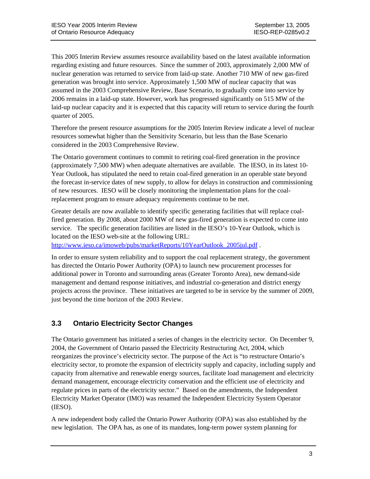This 2005 Interim Review assumes resource availability based on the latest available information regarding existing and future resources. Since the summer of 2003, approximately 2,000 MW of nuclear generation was returned to service from laid-up state. Another 710 MW of new gas-fired generation was brought into service. Approximately 1,500 MW of nuclear capacity that was assumed in the 2003 Comprehensive Review, Base Scenario, to gradually come into service by 2006 remains in a laid-up state. However, work has progressed significantly on 515 MW of the laid-up nuclear capacity and it is expected that this capacity will return to service during the fourth quarter of 2005.

Therefore the present resource assumptions for the 2005 Interim Review indicate a level of nuclear resources somewhat higher than the Sensitivity Scenario, but less than the Base Scenario considered in the 2003 Comprehensive Review.

The Ontario government continues to commit to retiring coal-fired generation in the province (approximately 7,500 MW) when adequate alternatives are available. The IESO, in its latest 10- Year Outlook, has stipulated the need to retain coal-fired generation in an operable state beyond the forecast in-service dates of new supply, to allow for delays in construction and commissioning of new resources. IESO will be closely monitoring the implementation plans for the coalreplacement program to ensure adequacy requirements continue to be met.

Greater details are now available to identify specific generating facilities that will replace coalfired generation. By 2008, about 2000 MW of new gas-fired generation is expected to come into service. The specific generation facilities are listed in the IESO's 10-Year Outlook, which is located on the IESO web-site at the following URL:

http://www.ieso.ca/imoweb/pubs/marketReports/10YearOutlook\_2005jul.pdf .

In order to ensure system reliability and to support the coal replacement strategy, the government has directed the Ontario Power Authority (OPA) to launch new procurement processes for additional power in Toronto and surrounding areas (Greater Toronto Area), new demand-side management and demand response initiatives, and industrial co-generation and district energy projects across the province. These initiatives are targeted to be in service by the summer of 2009, just beyond the time horizon of the 2003 Review.

## **3.3 Ontario Electricity Sector Changes**

I

The Ontario government has initiated a series of changes in the electricity sector. On December 9, 2004, the Government of Ontario passed the Electricity Restructuring Act, 2004, which reorganizes the province's electricity sector. The purpose of the Act is "to restructure Ontario's electricity sector, to promote the expansion of electricity supply and capacity, including supply and capacity from alternative and renewable energy sources, facilitate load management and electricity demand management, encourage electricity conservation and the efficient use of electricity and regulate prices in parts of the electricity sector." Based on the amendments, the Independent Electricity Market Operator (IMO) was renamed the Independent Electricity System Operator (IESO).

A new independent body called the Ontario Power Authority (OPA) was also established by the new legislation. The OPA has, as one of its mandates, long-term power system planning for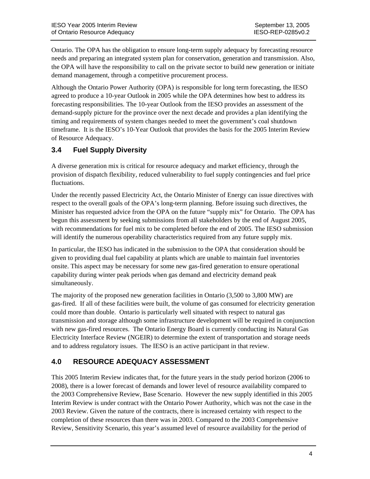Ontario. The OPA has the obligation to ensure long-term supply adequacy by forecasting resource needs and preparing an integrated system plan for conservation, generation and transmission. Also, the OPA will have the responsibility to call on the private sector to build new generation or initiate demand management, through a competitive procurement process.

Although the Ontario Power Authority (OPA) is responsible for long term forecasting, the IESO agreed to produce a 10-year Outlook in 2005 while the OPA determines how best to address its forecasting responsibilities. The 10-year Outlook from the IESO provides an assessment of the demand-supply picture for the province over the next decade and provides a plan identifying the timing and requirements of system changes needed to meet the government's coal shutdown timeframe. It is the IESO's 10-Year Outlook that provides the basis for the 2005 Interim Review of Resource Adequacy.

## **3.4 Fuel Supply Diversity**

A diverse generation mix is critical for resource adequacy and market efficiency, through the provision of dispatch flexibility, reduced vulnerability to fuel supply contingencies and fuel price fluctuations.

Under the recently passed Electricity Act, the Ontario Minister of Energy can issue directives with respect to the overall goals of the OPA's long-term planning. Before issuing such directives, the Minister has requested advice from the OPA on the future "supply mix" for Ontario. The OPA has begun this assessment by seeking submissions from all stakeholders by the end of August 2005, with recommendations for fuel mix to be completed before the end of 2005. The IESO submission will identify the numerous operability characteristics required from any future supply mix.

In particular, the IESO has indicated in the submission to the OPA that consideration should be given to providing dual fuel capability at plants which are unable to maintain fuel inventories onsite. This aspect may be necessary for some new gas-fired generation to ensure operational capability during winter peak periods when gas demand and electricity demand peak simultaneously.

The majority of the proposed new generation facilities in Ontario (3,500 to 3,800 MW) are gas-fired. If all of these facilities were built, the volume of gas consumed for electricity generation could more than double. Ontario is particularly well situated with respect to natural gas transmission and storage although some infrastructure development will be required in conjunction with new gas-fired resources. The Ontario Energy Board is currently conducting its Natural Gas Electricity Interface Review (NGEIR) to determine the extent of transportation and storage needs and to address regulatory issues. The IESO is an active participant in that review.

#### **4.0 RESOURCE ADEQUACY ASSESSMENT**

I

This 2005 Interim Review indicates that, for the future years in the study period horizon (2006 to 2008), there is a lower forecast of demands and lower level of resource availability compared to the 2003 Comprehensive Review, Base Scenario. However the new supply identified in this 2005 Interim Review is under contract with the Ontario Power Authority, which was not the case in the 2003 Review. Given the nature of the contracts, there is increased certainty with respect to the completion of these resources than there was in 2003. Compared to the 2003 Comprehensive Review, Sensitivity Scenario, this year's assumed level of resource availability for the period of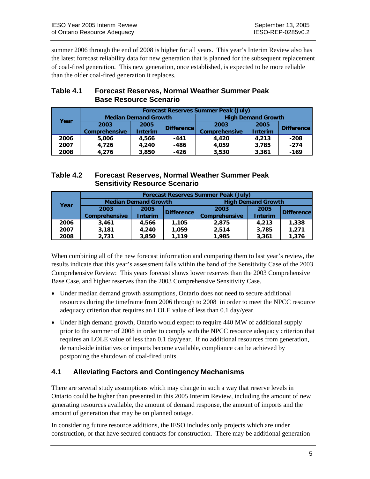summer 2006 through the end of 2008 is higher for all years. This year's Interim Review also has the latest forecast reliability data for new generation that is planned for the subsequent replacement of coal-fired generation. This new generation, once established, is expected to be more reliable than the older coal-fired generation it replaces.

#### **Table 4.1 Forecast Reserves, Normal Weather Summer Peak Base Resource Scenario**

| Year | <b>Forecast Reserves Summer Peak (July)</b> |                |               |                           |                |            |
|------|---------------------------------------------|----------------|---------------|---------------------------|----------------|------------|
|      | <b>Median Demand Growth</b>                 |                |               | <b>High Demand Growth</b> |                |            |
|      | 2003                                        | 2005           | Difference l' | 2003                      | 2005           | Difference |
|      | <b>Comprehensive</b>                        | <b>Interim</b> |               | Comprehensive             | <b>Interim</b> |            |
| 2006 | 5,006                                       | 4,566          | $-441$        | 4,420                     | 4,213          | $-208$     |
| 2007 | 4.726                                       | 4,240          | -486          | 4.059                     | 3,785          | $-274$     |
| 2008 | 4,276                                       | 3,850          | -426          | 3,530                     | 3,361          | $-169$     |

#### **Table 4.2 Forecast Reserves, Normal Weather Summer Peak Sensitivity Resource Scenario**

| Year | <b>Forecast Reserves Summer Peak (July)</b> |                |                   |                           |                |                   |
|------|---------------------------------------------|----------------|-------------------|---------------------------|----------------|-------------------|
|      | <b>Median Demand Growth</b>                 |                |                   | <b>High Demand Growth</b> |                |                   |
|      | 2003                                        | 2005           | <b>Difference</b> | 2003                      | 2005           | <b>Difference</b> |
|      | <b>Comprehensive</b>                        | <b>Interim</b> |                   | Comprehensive             | <b>Interim</b> |                   |
| 2006 | 3,461                                       | 4,566          | 1,105             | 2,875                     | 4,213          | 1,338             |
| 2007 | 3,181                                       | 4,240          | 1.059             | 2,514                     | 3,785          | 1,271             |
| 2008 | 2.731                                       | 3,850          | 1,119             | 1,985                     | 3,361          | 1,376             |

When combining all of the new forecast information and comparing them to last year's review, the results indicate that this year's assessment falls within the band of the Sensitivity Case of the 2003 Comprehensive Review: This years forecast shows lower reserves than the 2003 Comprehensive Base Case, and higher reserves than the 2003 Comprehensive Sensitivity Case.

- Under median demand growth assumptions, Ontario does not need to secure additional resources during the timeframe from 2006 through to 2008 in order to meet the NPCC resource adequacy criterion that requires an LOLE value of less than 0.1 day/year.
- Under high demand growth, Ontario would expect to require 440 MW of additional supply prior to the summer of 2008 in order to comply with the NPCC resource adequacy criterion that requires an LOLE value of less than 0.1 day/year. If no additional resources from generation, demand-side initiatives or imports become available, compliance can be achieved by postponing the shutdown of coal-fired units.

## **4.1 Alleviating Factors and Contingency Mechanisms**

I

There are several study assumptions which may change in such a way that reserve levels in Ontario could be higher than presented in this 2005 Interim Review, including the amount of new generating resources available, the amount of demand response, the amount of imports and the amount of generation that may be on planned outage.

In considering future resource additions, the IESO includes only projects which are under construction, or that have secured contracts for construction. There may be additional generation